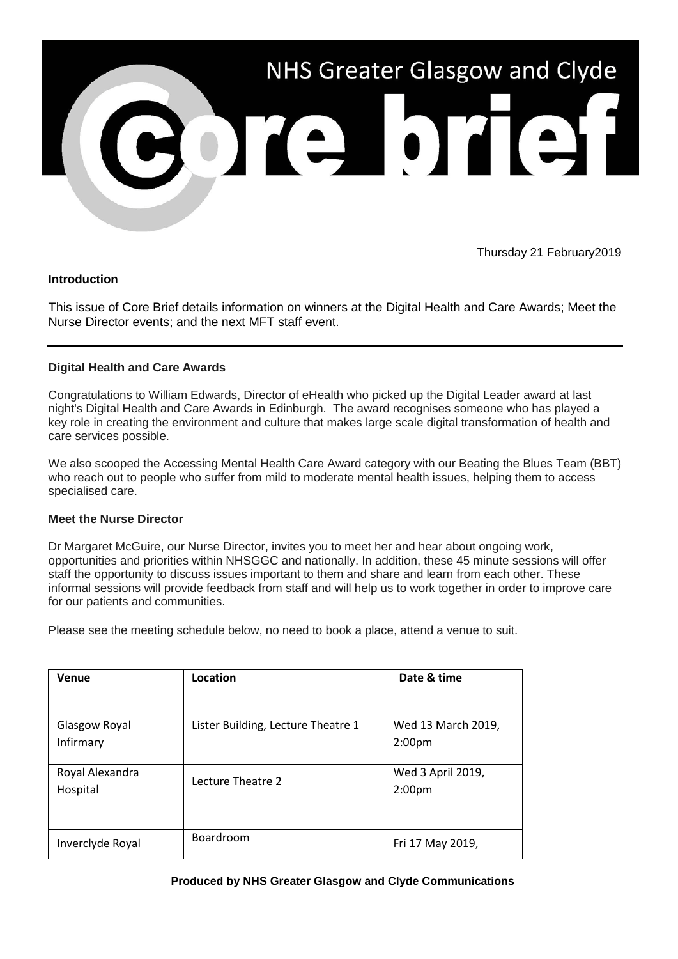

Thursday 21 February2019

### **Introduction**

This issue of Core Brief details information on winners at the Digital Health and Care Awards; Meet the Nurse Director events; and the next MFT staff event.

# **Digital Health and Care Awards**

Congratulations to William Edwards, Director of eHealth who picked up the Digital Leader award at last night's Digital Health and Care Awards in Edinburgh. The award recognises someone who has played a key role in creating the environment and culture that makes large scale digital transformation of health and care services possible.

We also scooped the Accessing Mental Health Care Award category with our Beating the Blues Team (BBT) who reach out to people who suffer from mild to moderate mental health issues, helping them to access specialised care.

### **Meet the Nurse Director**

Dr Margaret McGuire, our Nurse Director, invites you to meet her and hear about ongoing work, opportunities and priorities within NHSGGC and nationally. In addition, these 45 minute sessions will offer staff the opportunity to discuss issues important to them and share and learn from each other. These informal sessions will provide feedback from staff and will help us to work together in order to improve care for our patients and communities.

Please see the meeting schedule below, no need to book a place, attend a venue to suit.

| Venue            | Location                           | Date & time        |
|------------------|------------------------------------|--------------------|
|                  |                                    |                    |
| Glasgow Royal    | Lister Building, Lecture Theatre 1 | Wed 13 March 2019, |
| Infirmary        |                                    | 2:00 <sub>pm</sub> |
|                  |                                    |                    |
| Royal Alexandra  | Lecture Theatre 2                  | Wed 3 April 2019,  |
| Hospital         |                                    | 2:00 <sub>pm</sub> |
|                  |                                    |                    |
|                  |                                    |                    |
| Inverclyde Royal | Boardroom                          | Fri 17 May 2019,   |

### **Produced by NHS Greater Glasgow and Clyde Communications**